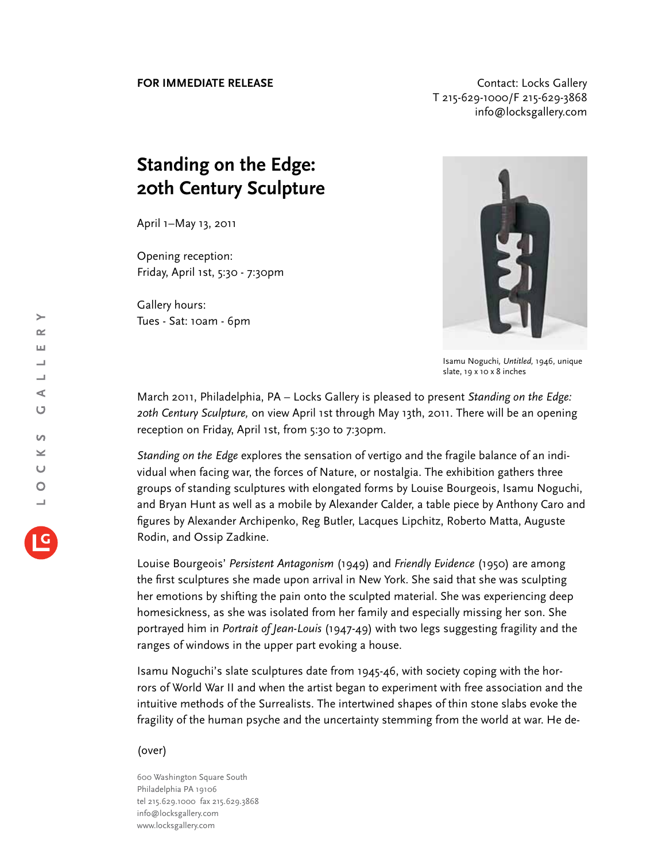## **FOR IMMEDIATE RELEASE CONTACT EXAMPLE ASSESS** T 215-629-1000/F 215-629-3868 info@locksgallery.com

## **Standing on the Edge: 20th Century Sculpture**

April 1–May 13, 2011

Opening reception: Friday, April 1st, 5:30 - 7:30pm

Gallery hours: Tues - Sat: 10am - 6pm



Isamu Noguchi*, Untitled,* 1946, unique slate, 19 x 10 x 8 inches

March 2011, Philadelphia, PA – Locks Gallery is pleased to present *Standing on the Edge: 20th Century Sculpture,* on view April 1st through May 13th, 2011. There will be an opening reception on Friday, April 1st, from 5:30 to 7:30pm.

*Standing on the Edge* explores the sensation of vertigo and the fragile balance of an individual when facing war, the forces of Nature, or nostalgia. The exhibition gathers three groups of standing sculptures with elongated forms by Louise Bourgeois, Isamu Noguchi, and Bryan Hunt as well as a mobile by Alexander Calder, a table piece by Anthony Caro and figures by Alexander Archipenko, Reg Butler, Lacques Lipchitz, Roberto Matta, Auguste Rodin, and Ossip Zadkine.

Louise Bourgeois' *Persistent Antagonism* (1949) and *Friendly Evidence* (1950) are among the first sculptures she made upon arrival in New York. She said that she was sculpting her emotions by shifting the pain onto the sculpted material. She was experiencing deep homesickness, as she was isolated from her family and especially missing her son. She portrayed him in *Portrait of Jean-Louis* (1947-49) with two legs suggesting fragility and the ranges of windows in the upper part evoking a house.

Isamu Noguchi's slate sculptures date from 1945-46, with society coping with the horrors of World War II and when the artist began to experiment with free association and the intuitive methods of the Surrealists. The intertwined shapes of thin stone slabs evoke the fragility of the human psyche and the uncertainty stemming from the world at war. He de-

## (over)

600 Washington Square South Philadelphia PA 19106 tel 215.629.1000 fax 215.629.3868 info@locksgallery.com www.locksgallery.com